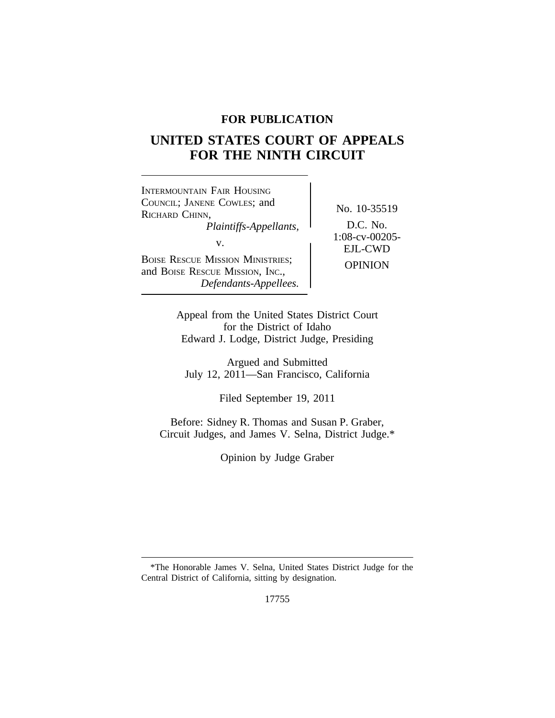# **FOR PUBLICATION**

# **UNITED STATES COURT OF APPEALS FOR THE NINTH CIRCUIT**

| INTERMOUNTAIN FAIR HOUSING<br>COUNCIL; JANENE COWLES; and<br>RICHARD CHINN,<br>Plaintiffs-Appellants,<br>V.<br><b>BOISE RESCUE MISSION MINISTRIES;</b><br>and BOISE RESCUE MISSION, INC.,<br>Defendants-Appellees. | No. 10-3551<br>D.C. No.<br>$1:08$ -cv- $0020$<br><b>EJL-CWD</b><br><b>OPINION</b> |
|--------------------------------------------------------------------------------------------------------------------------------------------------------------------------------------------------------------------|-----------------------------------------------------------------------------------|
|--------------------------------------------------------------------------------------------------------------------------------------------------------------------------------------------------------------------|-----------------------------------------------------------------------------------|

No. 10-35519<br>D.C. No. *Plaintiffs-Appellants,* D.C. No. 1:08-cv-00205- **EJL-CWD** 

Appeal from the United States District Court for the District of Idaho Edward J. Lodge, District Judge, Presiding

Argued and Submitted July 12, 2011—San Francisco, California

Filed September 19, 2011

Before: Sidney R. Thomas and Susan P. Graber, Circuit Judges, and James V. Selna, District Judge.\*

Opinion by Judge Graber

<sup>\*</sup>The Honorable James V. Selna, United States District Judge for the Central District of California, sitting by designation.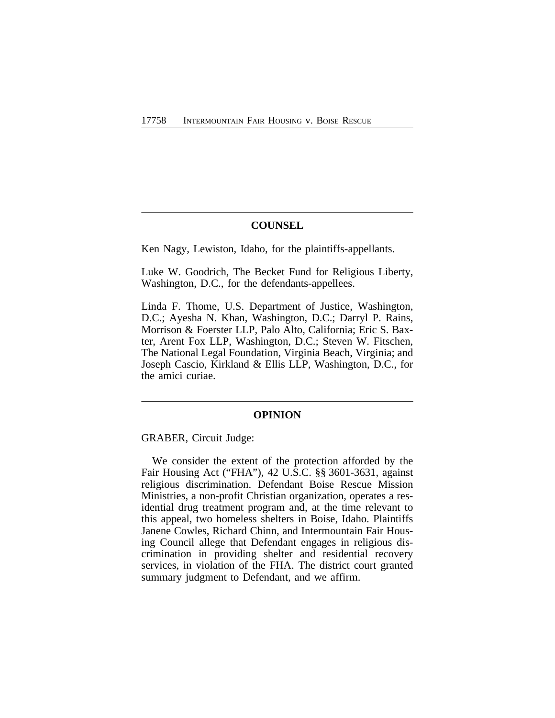# **COUNSEL**

Ken Nagy, Lewiston, Idaho, for the plaintiffs-appellants.

Luke W. Goodrich, The Becket Fund for Religious Liberty, Washington, D.C., for the defendants-appellees.

Linda F. Thome, U.S. Department of Justice, Washington, D.C.; Ayesha N. Khan, Washington, D.C.; Darryl P. Rains, Morrison & Foerster LLP, Palo Alto, California; Eric S. Baxter, Arent Fox LLP, Washington, D.C.; Steven W. Fitschen, The National Legal Foundation, Virginia Beach, Virginia; and Joseph Cascio, Kirkland & Ellis LLP, Washington, D.C., for the amici curiae.

## **OPINION**

GRABER, Circuit Judge:

We consider the extent of the protection afforded by the Fair Housing Act ("FHA"), 42 U.S.C. §§ 3601-3631, against religious discrimination. Defendant Boise Rescue Mission Ministries, a non-profit Christian organization, operates a residential drug treatment program and, at the time relevant to this appeal, two homeless shelters in Boise, Idaho. Plaintiffs Janene Cowles, Richard Chinn, and Intermountain Fair Housing Council allege that Defendant engages in religious discrimination in providing shelter and residential recovery services, in violation of the FHA. The district court granted summary judgment to Defendant, and we affirm.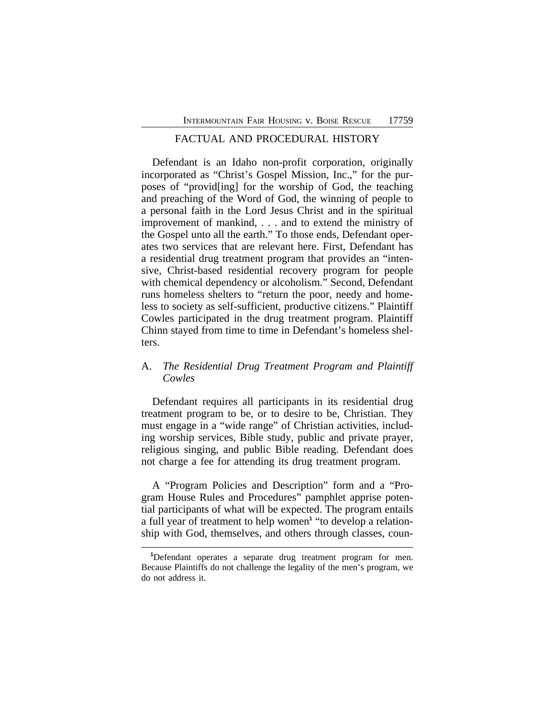# FACTUAL AND PROCEDURAL HISTORY

Defendant is an Idaho non-profit corporation, originally incorporated as "Christ's Gospel Mission, Inc.," for the purposes of "provid[ing] for the worship of God, the teaching and preaching of the Word of God, the winning of people to a personal faith in the Lord Jesus Christ and in the spiritual improvement of mankind, . . . and to extend the ministry of the Gospel unto all the earth." To those ends, Defendant operates two services that are relevant here. First, Defendant has a residential drug treatment program that provides an "intensive, Christ-based residential recovery program for people with chemical dependency or alcoholism." Second, Defendant runs homeless shelters to "return the poor, needy and homeless to society as self-sufficient, productive citizens." Plaintiff Cowles participated in the drug treatment program. Plaintiff Chinn stayed from time to time in Defendant's homeless shelters.

# A. *The Residential Drug Treatment Program and Plaintiff Cowles*

Defendant requires all participants in its residential drug treatment program to be, or to desire to be, Christian. They must engage in a "wide range" of Christian activities, including worship services, Bible study, public and private prayer, religious singing, and public Bible reading. Defendant does not charge a fee for attending its drug treatment program.

A "Program Policies and Description" form and a "Program House Rules and Procedures" pamphlet apprise potential participants of what will be expected. The program entails a full year of treatment to help women**<sup>1</sup>** "to develop a relationship with God, themselves, and others through classes, coun-

**<sup>1</sup>**Defendant operates a separate drug treatment program for men. Because Plaintiffs do not challenge the legality of the men's program, we do not address it.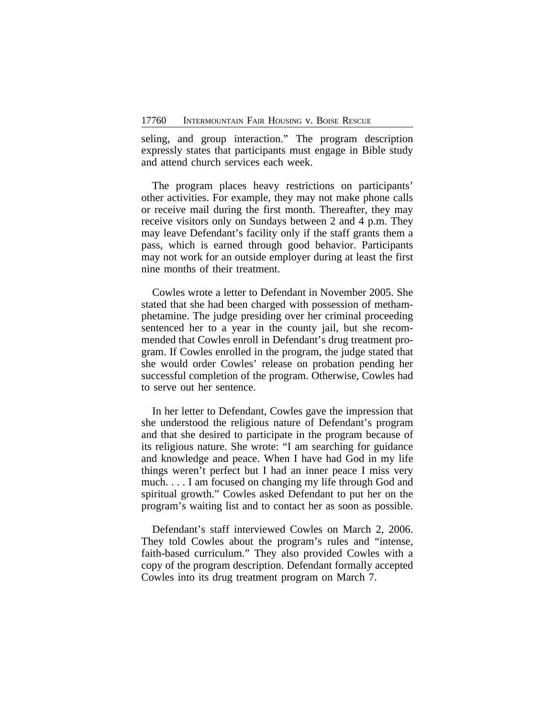seling, and group interaction." The program description expressly states that participants must engage in Bible study and attend church services each week.

The program places heavy restrictions on participants' other activities. For example, they may not make phone calls or receive mail during the first month. Thereafter, they may receive visitors only on Sundays between 2 and 4 p.m. They may leave Defendant's facility only if the staff grants them a pass, which is earned through good behavior. Participants may not work for an outside employer during at least the first nine months of their treatment.

Cowles wrote a letter to Defendant in November 2005. She stated that she had been charged with possession of methamphetamine. The judge presiding over her criminal proceeding sentenced her to a year in the county jail, but she recommended that Cowles enroll in Defendant's drug treatment program. If Cowles enrolled in the program, the judge stated that she would order Cowles' release on probation pending her successful completion of the program. Otherwise, Cowles had to serve out her sentence.

In her letter to Defendant, Cowles gave the impression that she understood the religious nature of Defendant's program and that she desired to participate in the program because of its religious nature. She wrote: "I am searching for guidance and knowledge and peace. When I have had God in my life things weren't perfect but I had an inner peace I miss very much. . . . I am focused on changing my life through God and spiritual growth." Cowles asked Defendant to put her on the program's waiting list and to contact her as soon as possible.

Defendant's staff interviewed Cowles on March 2, 2006. They told Cowles about the program's rules and "intense, faith-based curriculum." They also provided Cowles with a copy of the program description. Defendant formally accepted Cowles into its drug treatment program on March 7.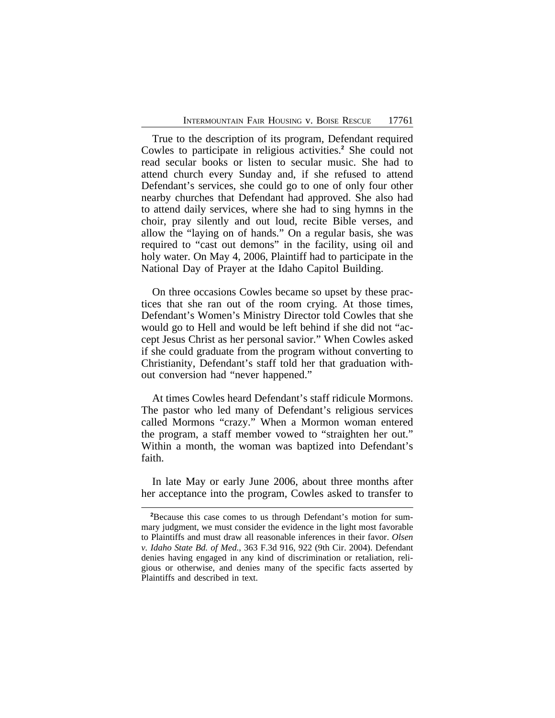True to the description of its program, Defendant required Cowles to participate in religious activities.**<sup>2</sup>** She could not read secular books or listen to secular music. She had to attend church every Sunday and, if she refused to attend Defendant's services, she could go to one of only four other nearby churches that Defendant had approved. She also had to attend daily services, where she had to sing hymns in the choir, pray silently and out loud, recite Bible verses, and allow the "laying on of hands." On a regular basis, she was required to "cast out demons" in the facility, using oil and holy water. On May 4, 2006, Plaintiff had to participate in the National Day of Prayer at the Idaho Capitol Building.

On three occasions Cowles became so upset by these practices that she ran out of the room crying. At those times, Defendant's Women's Ministry Director told Cowles that she would go to Hell and would be left behind if she did not "accept Jesus Christ as her personal savior." When Cowles asked if she could graduate from the program without converting to Christianity, Defendant's staff told her that graduation without conversion had "never happened."

At times Cowles heard Defendant's staff ridicule Mormons. The pastor who led many of Defendant's religious services called Mormons "crazy." When a Mormon woman entered the program, a staff member vowed to "straighten her out." Within a month, the woman was baptized into Defendant's faith.

In late May or early June 2006, about three months after her acceptance into the program, Cowles asked to transfer to

**<sup>2</sup>**Because this case comes to us through Defendant's motion for summary judgment, we must consider the evidence in the light most favorable to Plaintiffs and must draw all reasonable inferences in their favor. *Olsen v. Idaho State Bd. of Med.*, 363 F.3d 916, 922 (9th Cir. 2004). Defendant denies having engaged in any kind of discrimination or retaliation, religious or otherwise, and denies many of the specific facts asserted by Plaintiffs and described in text.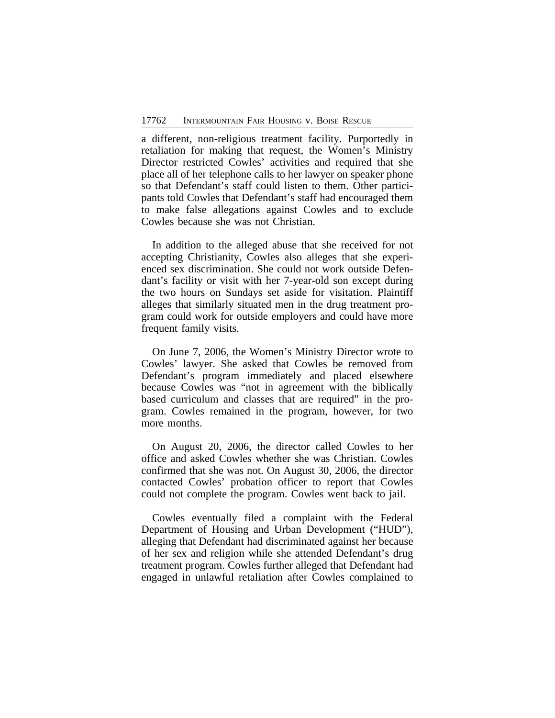a different, non-religious treatment facility. Purportedly in retaliation for making that request, the Women's Ministry Director restricted Cowles' activities and required that she place all of her telephone calls to her lawyer on speaker phone so that Defendant's staff could listen to them. Other participants told Cowles that Defendant's staff had encouraged them to make false allegations against Cowles and to exclude Cowles because she was not Christian.

In addition to the alleged abuse that she received for not accepting Christianity, Cowles also alleges that she experienced sex discrimination. She could not work outside Defendant's facility or visit with her 7-year-old son except during the two hours on Sundays set aside for visitation. Plaintiff alleges that similarly situated men in the drug treatment program could work for outside employers and could have more frequent family visits.

On June 7, 2006, the Women's Ministry Director wrote to Cowles' lawyer. She asked that Cowles be removed from Defendant's program immediately and placed elsewhere because Cowles was "not in agreement with the biblically based curriculum and classes that are required" in the program. Cowles remained in the program, however, for two more months.

On August 20, 2006, the director called Cowles to her office and asked Cowles whether she was Christian. Cowles confirmed that she was not. On August 30, 2006, the director contacted Cowles' probation officer to report that Cowles could not complete the program. Cowles went back to jail.

Cowles eventually filed a complaint with the Federal Department of Housing and Urban Development ("HUD"), alleging that Defendant had discriminated against her because of her sex and religion while she attended Defendant's drug treatment program. Cowles further alleged that Defendant had engaged in unlawful retaliation after Cowles complained to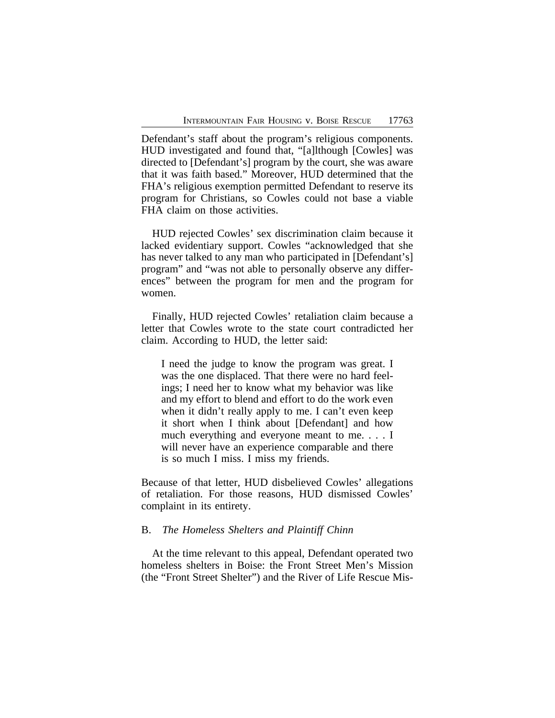Defendant's staff about the program's religious components. HUD investigated and found that, "[a]lthough [Cowles] was directed to [Defendant's] program by the court, she was aware that it was faith based." Moreover, HUD determined that the FHA's religious exemption permitted Defendant to reserve its program for Christians, so Cowles could not base a viable FHA claim on those activities.

HUD rejected Cowles' sex discrimination claim because it lacked evidentiary support. Cowles "acknowledged that she has never talked to any man who participated in [Defendant's] program" and "was not able to personally observe any differences" between the program for men and the program for women.

Finally, HUD rejected Cowles' retaliation claim because a letter that Cowles wrote to the state court contradicted her claim. According to HUD, the letter said:

I need the judge to know the program was great. I was the one displaced. That there were no hard feelings; I need her to know what my behavior was like and my effort to blend and effort to do the work even when it didn't really apply to me. I can't even keep it short when I think about [Defendant] and how much everything and everyone meant to me. . . . I will never have an experience comparable and there is so much I miss. I miss my friends.

Because of that letter, HUD disbelieved Cowles' allegations of retaliation. For those reasons, HUD dismissed Cowles' complaint in its entirety.

# B. *The Homeless Shelters and Plaintiff Chinn*

At the time relevant to this appeal, Defendant operated two homeless shelters in Boise: the Front Street Men's Mission (the "Front Street Shelter") and the River of Life Rescue Mis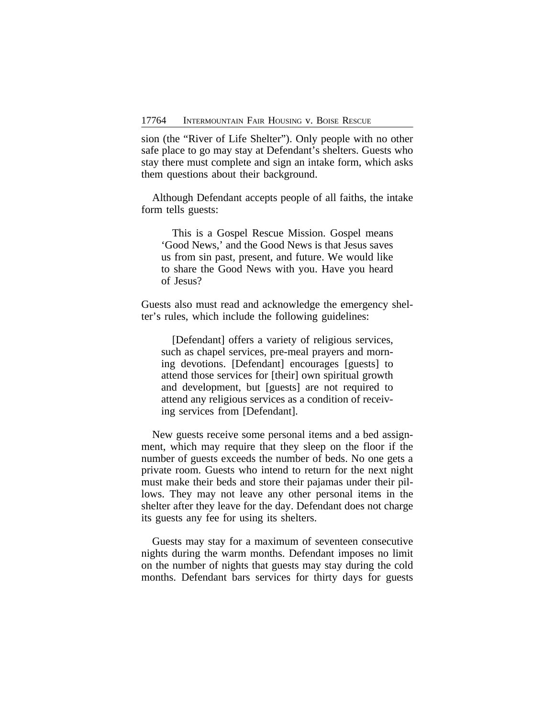sion (the "River of Life Shelter"). Only people with no other safe place to go may stay at Defendant's shelters. Guests who stay there must complete and sign an intake form, which asks them questions about their background.

Although Defendant accepts people of all faiths, the intake form tells guests:

This is a Gospel Rescue Mission. Gospel means 'Good News,' and the Good News is that Jesus saves us from sin past, present, and future. We would like to share the Good News with you. Have you heard of Jesus?

Guests also must read and acknowledge the emergency shelter's rules, which include the following guidelines:

[Defendant] offers a variety of religious services, such as chapel services, pre-meal prayers and morning devotions. [Defendant] encourages [guests] to attend those services for [their] own spiritual growth and development, but [guests] are not required to attend any religious services as a condition of receiving services from [Defendant].

New guests receive some personal items and a bed assignment, which may require that they sleep on the floor if the number of guests exceeds the number of beds. No one gets a private room. Guests who intend to return for the next night must make their beds and store their pajamas under their pillows. They may not leave any other personal items in the shelter after they leave for the day. Defendant does not charge its guests any fee for using its shelters.

Guests may stay for a maximum of seventeen consecutive nights during the warm months. Defendant imposes no limit on the number of nights that guests may stay during the cold months. Defendant bars services for thirty days for guests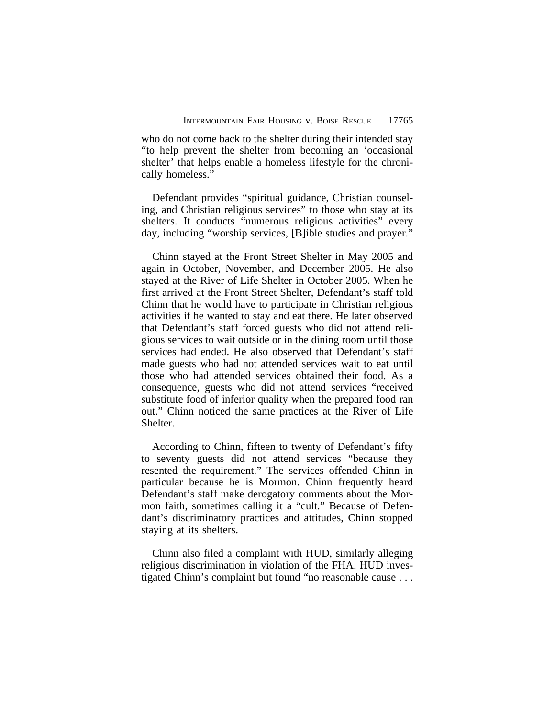who do not come back to the shelter during their intended stay "to help prevent the shelter from becoming an 'occasional shelter' that helps enable a homeless lifestyle for the chronically homeless."

Defendant provides "spiritual guidance, Christian counseling, and Christian religious services" to those who stay at its shelters. It conducts "numerous religious activities" every day, including "worship services, [B]ible studies and prayer."

Chinn stayed at the Front Street Shelter in May 2005 and again in October, November, and December 2005. He also stayed at the River of Life Shelter in October 2005. When he first arrived at the Front Street Shelter, Defendant's staff told Chinn that he would have to participate in Christian religious activities if he wanted to stay and eat there. He later observed that Defendant's staff forced guests who did not attend religious services to wait outside or in the dining room until those services had ended. He also observed that Defendant's staff made guests who had not attended services wait to eat until those who had attended services obtained their food. As a consequence, guests who did not attend services "received substitute food of inferior quality when the prepared food ran out." Chinn noticed the same practices at the River of Life Shelter.

According to Chinn, fifteen to twenty of Defendant's fifty to seventy guests did not attend services "because they resented the requirement." The services offended Chinn in particular because he is Mormon. Chinn frequently heard Defendant's staff make derogatory comments about the Mormon faith, sometimes calling it a "cult." Because of Defendant's discriminatory practices and attitudes, Chinn stopped staying at its shelters.

Chinn also filed a complaint with HUD, similarly alleging religious discrimination in violation of the FHA. HUD investigated Chinn's complaint but found "no reasonable cause . . .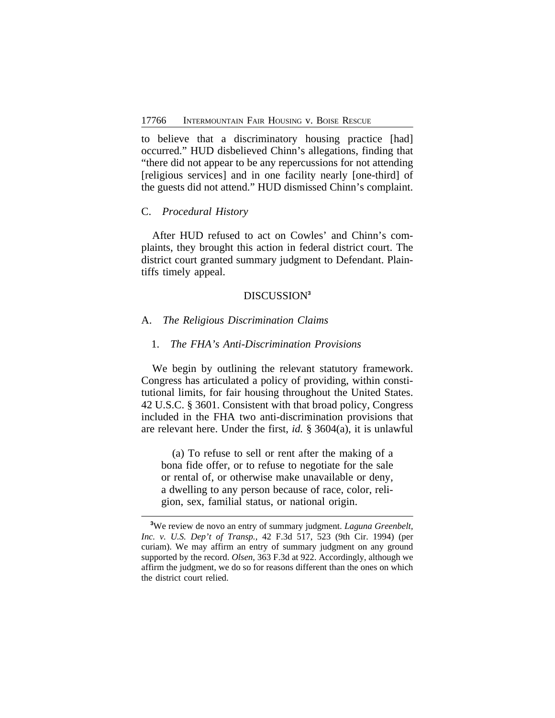to believe that a discriminatory housing practice [had] occurred." HUD disbelieved Chinn's allegations, finding that "there did not appear to be any repercussions for not attending [religious services] and in one facility nearly [one-third] of the guests did not attend." HUD dismissed Chinn's complaint.

#### C. *Procedural History*

After HUD refused to act on Cowles' and Chinn's complaints, they brought this action in federal district court. The district court granted summary judgment to Defendant. Plaintiffs timely appeal.

# DISCUSSION**<sup>3</sup>**

#### A. *The Religious Discrimination Claims*

### 1. *The FHA's Anti-Discrimination Provisions*

We begin by outlining the relevant statutory framework. Congress has articulated a policy of providing, within constitutional limits, for fair housing throughout the United States. 42 U.S.C. § 3601. Consistent with that broad policy, Congress included in the FHA two anti-discrimination provisions that are relevant here. Under the first, *id.* § 3604(a), it is unlawful

(a) To refuse to sell or rent after the making of a bona fide offer, or to refuse to negotiate for the sale or rental of, or otherwise make unavailable or deny, a dwelling to any person because of race, color, religion, sex, familial status, or national origin.

**<sup>3</sup>**We review de novo an entry of summary judgment. *Laguna Greenbelt, Inc. v. U.S. Dep't of Transp.*, 42 F.3d 517, 523 (9th Cir. 1994) (per curiam). We may affirm an entry of summary judgment on any ground supported by the record. *Olsen*, 363 F.3d at 922. Accordingly, although we affirm the judgment, we do so for reasons different than the ones on which the district court relied.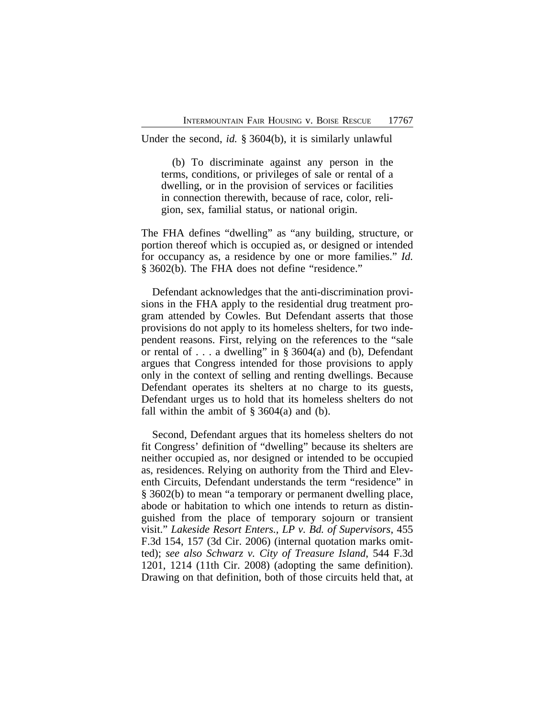Under the second, *id.* § 3604(b), it is similarly unlawful

(b) To discriminate against any person in the terms, conditions, or privileges of sale or rental of a dwelling, or in the provision of services or facilities in connection therewith, because of race, color, religion, sex, familial status, or national origin.

The FHA defines "dwelling" as "any building, structure, or portion thereof which is occupied as, or designed or intended for occupancy as, a residence by one or more families." *Id.* § 3602(b). The FHA does not define "residence."

Defendant acknowledges that the anti-discrimination provisions in the FHA apply to the residential drug treatment program attended by Cowles. But Defendant asserts that those provisions do not apply to its homeless shelters, for two independent reasons. First, relying on the references to the "sale or rental of . . . a dwelling" in  $\S$  3604(a) and (b), Defendant argues that Congress intended for those provisions to apply only in the context of selling and renting dwellings. Because Defendant operates its shelters at no charge to its guests, Defendant urges us to hold that its homeless shelters do not fall within the ambit of  $\S$  3604(a) and (b).

Second, Defendant argues that its homeless shelters do not fit Congress' definition of "dwelling" because its shelters are neither occupied as, nor designed or intended to be occupied as, residences. Relying on authority from the Third and Eleventh Circuits, Defendant understands the term "residence" in § 3602(b) to mean "a temporary or permanent dwelling place, abode or habitation to which one intends to return as distinguished from the place of temporary sojourn or transient visit." *Lakeside Resort Enters., LP v. Bd. of Supervisors*, 455 F.3d 154, 157 (3d Cir. 2006) (internal quotation marks omitted); *see also Schwarz v. City of Treasure Island*, 544 F.3d 1201, 1214 (11th Cir. 2008) (adopting the same definition). Drawing on that definition, both of those circuits held that, at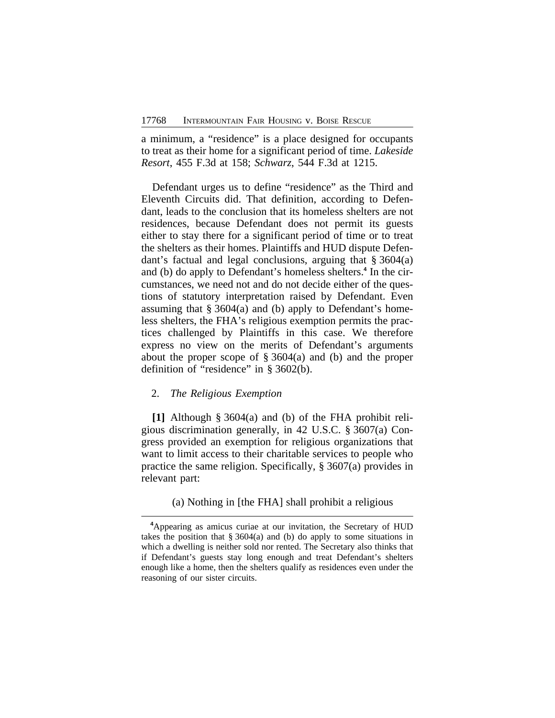a minimum, a "residence" is a place designed for occupants to treat as their home for a significant period of time. *Lakeside Resort*, 455 F.3d at 158; *Schwarz*, 544 F.3d at 1215.

Defendant urges us to define "residence" as the Third and Eleventh Circuits did. That definition, according to Defendant, leads to the conclusion that its homeless shelters are not residences, because Defendant does not permit its guests either to stay there for a significant period of time or to treat the shelters as their homes. Plaintiffs and HUD dispute Defendant's factual and legal conclusions, arguing that § 3604(a) and (b) do apply to Defendant's homeless shelters.**<sup>4</sup>** In the circumstances, we need not and do not decide either of the questions of statutory interpretation raised by Defendant. Even assuming that § 3604(a) and (b) apply to Defendant's homeless shelters, the FHA's religious exemption permits the practices challenged by Plaintiffs in this case. We therefore express no view on the merits of Defendant's arguments about the proper scope of  $\S 3604(a)$  and (b) and the proper definition of "residence" in § 3602(b).

## 2. *The Religious Exemption*

**[1]** Although § 3604(a) and (b) of the FHA prohibit religious discrimination generally, in 42 U.S.C. § 3607(a) Congress provided an exemption for religious organizations that want to limit access to their charitable services to people who practice the same religion. Specifically, § 3607(a) provides in relevant part:

(a) Nothing in [the FHA] shall prohibit a religious

**<sup>4</sup>**Appearing as amicus curiae at our invitation, the Secretary of HUD takes the position that  $\S 3604(a)$  and (b) do apply to some situations in which a dwelling is neither sold nor rented. The Secretary also thinks that if Defendant's guests stay long enough and treat Defendant's shelters enough like a home, then the shelters qualify as residences even under the reasoning of our sister circuits.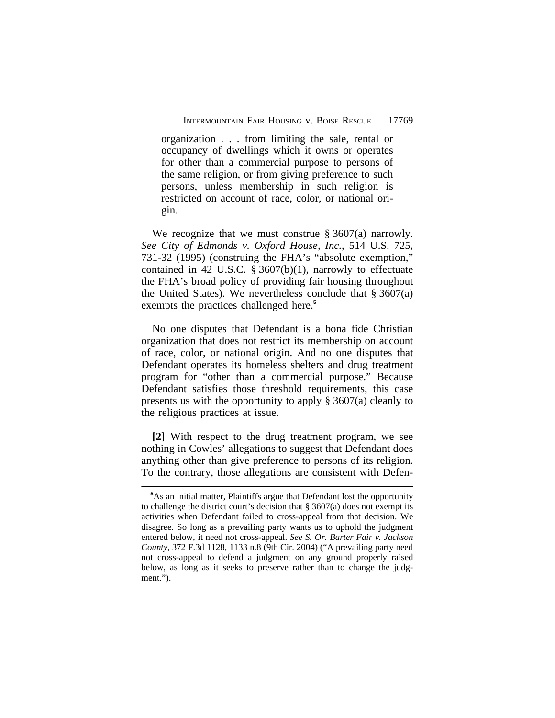organization . . . from limiting the sale, rental or occupancy of dwellings which it owns or operates for other than a commercial purpose to persons of the same religion, or from giving preference to such persons, unless membership in such religion is restricted on account of race, color, or national origin.

We recognize that we must construe § 3607(a) narrowly. *See City of Edmonds v. Oxford House, Inc.*, 514 U.S. 725, 731-32 (1995) (construing the FHA's "absolute exemption," contained in 42 U.S.C. § 3607(b)(1), narrowly to effectuate the FHA's broad policy of providing fair housing throughout the United States). We nevertheless conclude that  $\S 3607(a)$ exempts the practices challenged here.**<sup>5</sup>**

No one disputes that Defendant is a bona fide Christian organization that does not restrict its membership on account of race, color, or national origin. And no one disputes that Defendant operates its homeless shelters and drug treatment program for "other than a commercial purpose." Because Defendant satisfies those threshold requirements, this case presents us with the opportunity to apply § 3607(a) cleanly to the religious practices at issue.

**[2]** With respect to the drug treatment program, we see nothing in Cowles' allegations to suggest that Defendant does anything other than give preference to persons of its religion. To the contrary, those allegations are consistent with Defen-

**<sup>5</sup>**As an initial matter, Plaintiffs argue that Defendant lost the opportunity to challenge the district court's decision that § 3607(a) does not exempt its activities when Defendant failed to cross-appeal from that decision. We disagree. So long as a prevailing party wants us to uphold the judgment entered below, it need not cross-appeal. *See S. Or. Barter Fair v. Jackson County*, 372 F.3d 1128, 1133 n.8 (9th Cir. 2004) ("A prevailing party need not cross-appeal to defend a judgment on any ground properly raised below, as long as it seeks to preserve rather than to change the judgment.").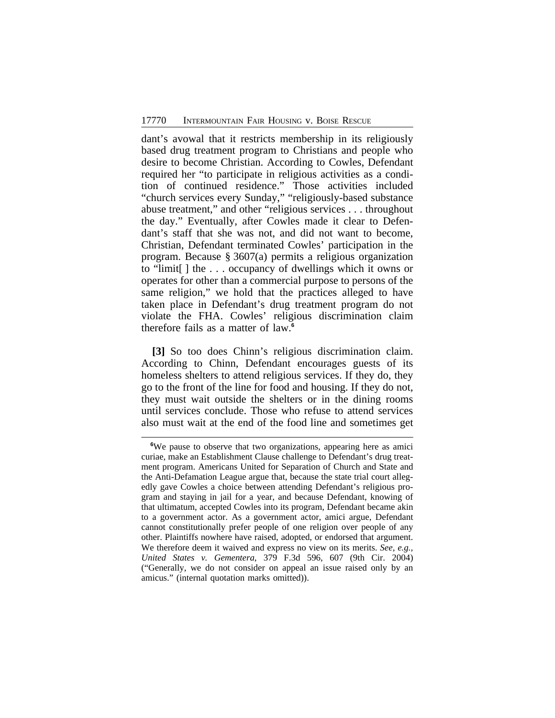dant's avowal that it restricts membership in its religiously based drug treatment program to Christians and people who desire to become Christian. According to Cowles, Defendant required her "to participate in religious activities as a condition of continued residence." Those activities included "church services every Sunday," "religiously-based substance abuse treatment," and other "religious services . . . throughout the day." Eventually, after Cowles made it clear to Defendant's staff that she was not, and did not want to become, Christian, Defendant terminated Cowles' participation in the program. Because § 3607(a) permits a religious organization to "limit[ ] the . . . occupancy of dwellings which it owns or operates for other than a commercial purpose to persons of the same religion," we hold that the practices alleged to have taken place in Defendant's drug treatment program do not violate the FHA. Cowles' religious discrimination claim therefore fails as a matter of law.**<sup>6</sup>**

**[3]** So too does Chinn's religious discrimination claim. According to Chinn, Defendant encourages guests of its homeless shelters to attend religious services. If they do, they go to the front of the line for food and housing. If they do not, they must wait outside the shelters or in the dining rooms until services conclude. Those who refuse to attend services also must wait at the end of the food line and sometimes get

**<sup>6</sup>**We pause to observe that two organizations, appearing here as amici curiae, make an Establishment Clause challenge to Defendant's drug treatment program. Americans United for Separation of Church and State and the Anti-Defamation League argue that, because the state trial court allegedly gave Cowles a choice between attending Defendant's religious program and staying in jail for a year, and because Defendant, knowing of that ultimatum, accepted Cowles into its program, Defendant became akin to a government actor. As a government actor, amici argue, Defendant cannot constitutionally prefer people of one religion over people of any other. Plaintiffs nowhere have raised, adopted, or endorsed that argument. We therefore deem it waived and express no view on its merits. *See, e.g., United States v. Gementera*, 379 F.3d 596, 607 (9th Cir. 2004) ("Generally, we do not consider on appeal an issue raised only by an amicus." (internal quotation marks omitted)).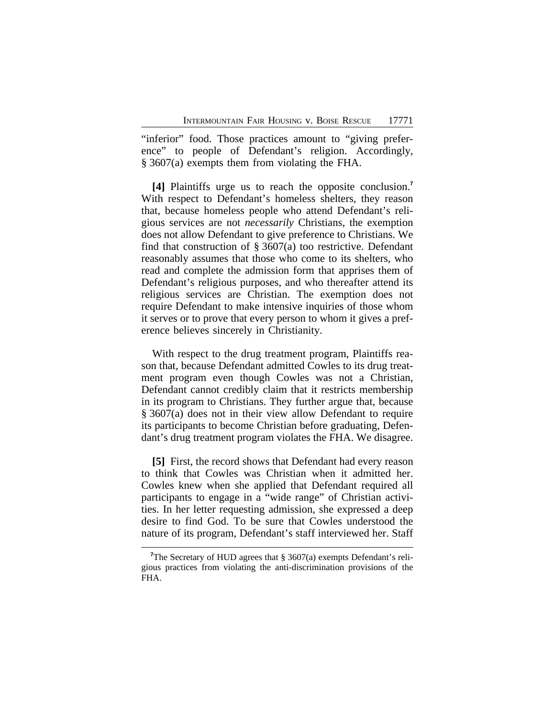"inferior" food. Those practices amount to "giving preference" to people of Defendant's religion. Accordingly, § 3607(a) exempts them from violating the FHA.

**[4]** Plaintiffs urge us to reach the opposite conclusion.**<sup>7</sup>** With respect to Defendant's homeless shelters, they reason that, because homeless people who attend Defendant's religious services are not *necessarily* Christians, the exemption does not allow Defendant to give preference to Christians. We find that construction of  $\S 3607(a)$  too restrictive. Defendant reasonably assumes that those who come to its shelters, who read and complete the admission form that apprises them of Defendant's religious purposes, and who thereafter attend its religious services are Christian. The exemption does not require Defendant to make intensive inquiries of those whom it serves or to prove that every person to whom it gives a preference believes sincerely in Christianity.

With respect to the drug treatment program, Plaintiffs reason that, because Defendant admitted Cowles to its drug treatment program even though Cowles was not a Christian, Defendant cannot credibly claim that it restricts membership in its program to Christians. They further argue that, because § 3607(a) does not in their view allow Defendant to require its participants to become Christian before graduating, Defendant's drug treatment program violates the FHA. We disagree.

**[5]** First, the record shows that Defendant had every reason to think that Cowles was Christian when it admitted her. Cowles knew when she applied that Defendant required all participants to engage in a "wide range" of Christian activities. In her letter requesting admission, she expressed a deep desire to find God. To be sure that Cowles understood the nature of its program, Defendant's staff interviewed her. Staff

<sup>&</sup>lt;sup>7</sup>The Secretary of HUD agrees that § 3607(a) exempts Defendant's religious practices from violating the anti-discrimination provisions of the FHA.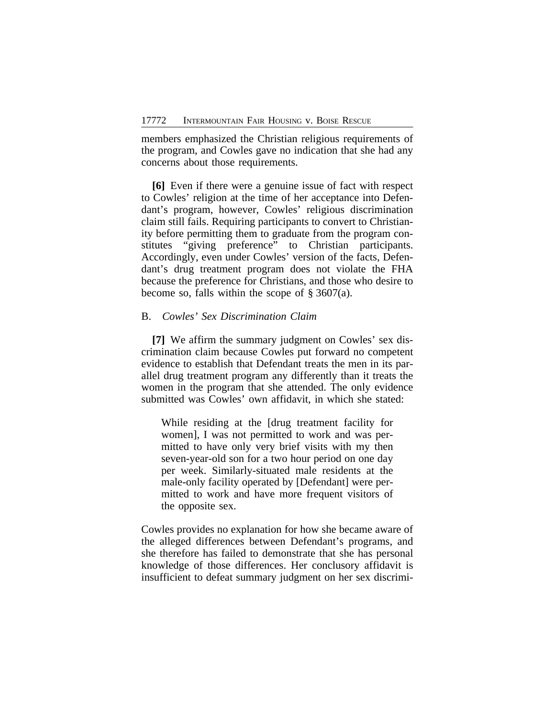members emphasized the Christian religious requirements of the program, and Cowles gave no indication that she had any concerns about those requirements.

**[6]** Even if there were a genuine issue of fact with respect to Cowles' religion at the time of her acceptance into Defendant's program, however, Cowles' religious discrimination claim still fails. Requiring participants to convert to Christianity before permitting them to graduate from the program constitutes "giving preference" to Christian participants. Accordingly, even under Cowles' version of the facts, Defendant's drug treatment program does not violate the FHA because the preference for Christians, and those who desire to become so, falls within the scope of  $\S 3607(a)$ .

#### B. *Cowles' Sex Discrimination Claim*

**[7]** We affirm the summary judgment on Cowles' sex discrimination claim because Cowles put forward no competent evidence to establish that Defendant treats the men in its parallel drug treatment program any differently than it treats the women in the program that she attended. The only evidence submitted was Cowles' own affidavit, in which she stated:

While residing at the [drug treatment facility for women], I was not permitted to work and was permitted to have only very brief visits with my then seven-year-old son for a two hour period on one day per week. Similarly-situated male residents at the male-only facility operated by [Defendant] were permitted to work and have more frequent visitors of the opposite sex.

Cowles provides no explanation for how she became aware of the alleged differences between Defendant's programs, and she therefore has failed to demonstrate that she has personal knowledge of those differences. Her conclusory affidavit is insufficient to defeat summary judgment on her sex discrimi